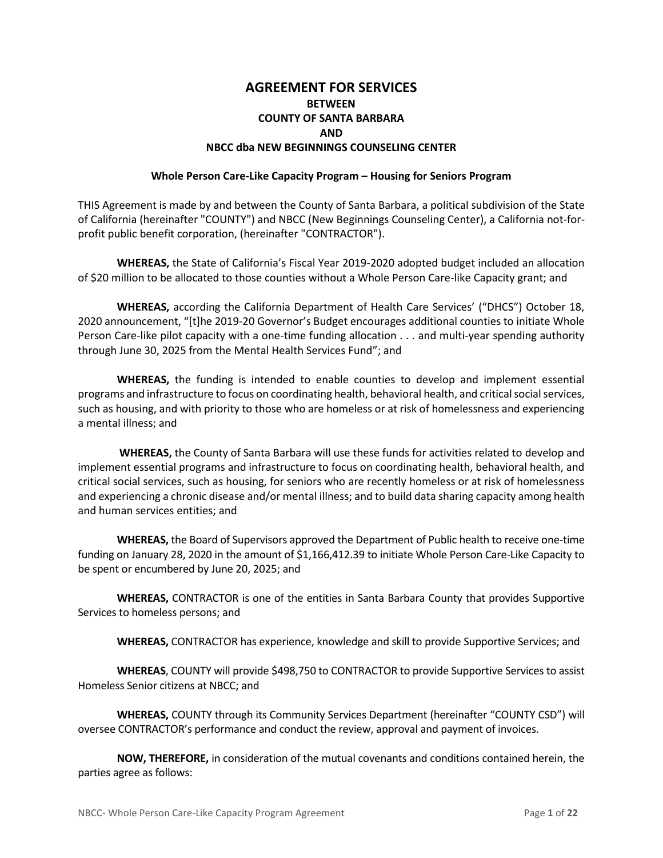### **AGREEMENT FOR SERVICES BETWEEN COUNTY OF SANTA BARBARA AND NBCC dba NEW BEGINNINGS COUNSELING CENTER**

#### **Whole Person Care-Like Capacity Program – Housing for Seniors Program**

THIS Agreement is made by and between the County of Santa Barbara, a political subdivision of the State of California (hereinafter "COUNTY") and NBCC (New Beginnings Counseling Center), a California not-forprofit public benefit corporation, (hereinafter "CONTRACTOR").

**WHEREAS,** the State of California's Fiscal Year 2019-2020 adopted budget included an allocation of \$20 million to be allocated to those counties without a Whole Person Care-like Capacity grant; and

**WHEREAS,** according the California Department of Health Care Services' ("DHCS") October 18, 2020 announcement, "[t]he 2019-20 Governor's Budget encourages additional counties to initiate Whole Person Care-like pilot capacity with a one-time funding allocation . . . and multi-year spending authority through June 30, 2025 from the Mental Health Services Fund"; and

**WHEREAS,** the funding is intended to enable counties to develop and implement essential programs and infrastructure to focus on coordinating health, behavioral health, and critical social services, such as housing, and with priority to those who are homeless or at risk of homelessness and experiencing a mental illness; and

**WHEREAS,** the County of Santa Barbara will use these funds for activities related to develop and implement essential programs and infrastructure to focus on coordinating health, behavioral health, and critical social services, such as housing, for seniors who are recently homeless or at risk of homelessness and experiencing a chronic disease and/or mental illness; and to build data sharing capacity among health and human services entities; and

**WHEREAS,** the Board of Supervisors approved the Department of Public health to receive one-time funding on January 28, 2020 in the amount of \$1,166,412.39 to initiate Whole Person Care-Like Capacity to be spent or encumbered by June 20, 2025; and

**WHEREAS,** CONTRACTOR is one of the entities in Santa Barbara County that provides Supportive Services to homeless persons; and

**WHEREAS,** CONTRACTOR has experience, knowledge and skill to provide Supportive Services; and

**WHEREAS**, COUNTY will provide \$498,750 to CONTRACTOR to provide Supportive Services to assist Homeless Senior citizens at NBCC; and

**WHEREAS,** COUNTY through its Community Services Department (hereinafter "COUNTY CSD") will oversee CONTRACTOR's performance and conduct the review, approval and payment of invoices.

**NOW, THEREFORE,** in consideration of the mutual covenants and conditions contained herein, the parties agree as follows: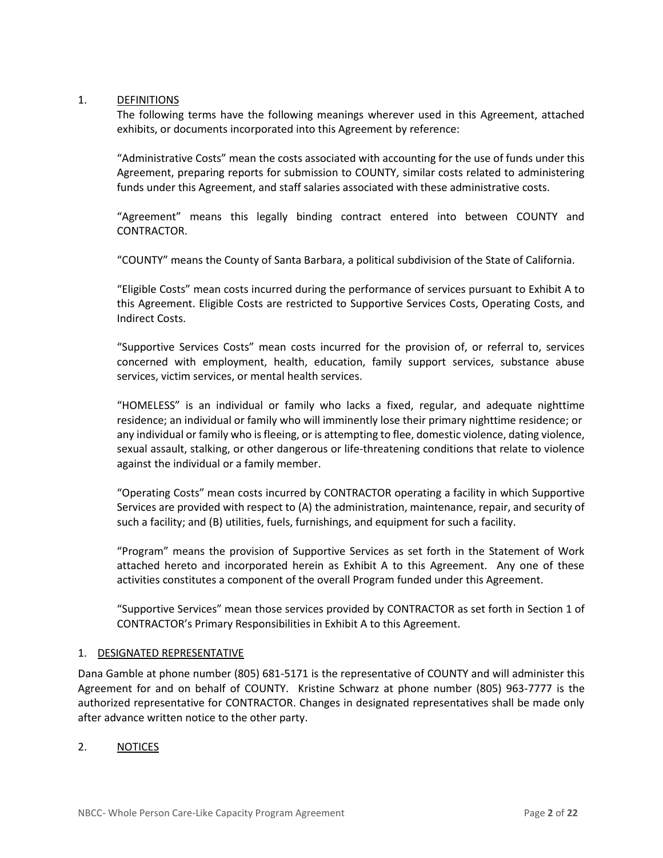#### 1. DEFINITIONS

The following terms have the following meanings wherever used in this Agreement, attached exhibits, or documents incorporated into this Agreement by reference:

"Administrative Costs" mean the costs associated with accounting for the use of funds under this Agreement, preparing reports for submission to COUNTY, similar costs related to administering funds under this Agreement, and staff salaries associated with these administrative costs.

"Agreement" means this legally binding contract entered into between COUNTY and CONTRACTOR.

"COUNTY" means the County of Santa Barbara, a political subdivision of the State of California.

"Eligible Costs" mean costs incurred during the performance of services pursuant to Exhibit A to this Agreement. Eligible Costs are restricted to Supportive Services Costs, Operating Costs, and Indirect Costs.

"Supportive Services Costs" mean costs incurred for the provision of, or referral to, services concerned with employment, health, education, family support services, substance abuse services, victim services, or mental health services.

"HOMELESS" is an individual or family who lacks a fixed, regular, and adequate nighttime residence; an individual or family who will imminently lose their primary nighttime residence; or any individual or family who is fleeing, or is attempting to flee, domestic violence, dating violence, sexual assault, stalking, or other dangerous or life-threatening conditions that relate to violence against the individual or a family member.

"Operating Costs" mean costs incurred by CONTRACTOR operating a facility in which Supportive Services are provided with respect to (A) the administration, maintenance, repair, and security of such a facility; and (B) utilities, fuels, furnishings, and equipment for such a facility.

"Program" means the provision of Supportive Services as set forth in the Statement of Work attached hereto and incorporated herein as Exhibit A to this Agreement. Any one of these activities constitutes a component of the overall Program funded under this Agreement.

"Supportive Services" mean those services provided by CONTRACTOR as set forth in Section 1 of CONTRACTOR's Primary Responsibilities in Exhibit A to this Agreement.

#### 1. DESIGNATED REPRESENTATIVE

Dana Gamble at phone number (805) 681-5171 is the representative of COUNTY and will administer this Agreement for and on behalf of COUNTY. Kristine Schwarz at phone number (805) 963-7777 is the authorized representative for CONTRACTOR. Changes in designated representatives shall be made only after advance written notice to the other party.

#### 2. NOTICES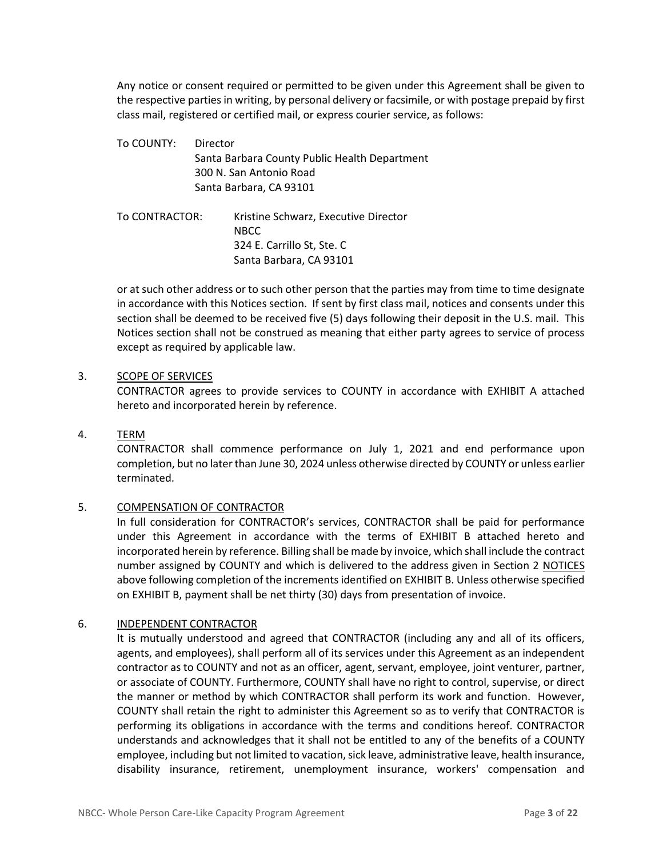Any notice or consent required or permitted to be given under this Agreement shall be given to the respective parties in writing, by personal delivery or facsimile, or with postage prepaid by first class mail, registered or certified mail, or express courier service, as follows:

To COUNTY: Director Santa Barbara County Public Health Department 300 N. San Antonio Road Santa Barbara, CA 93101

To CONTRACTOR: Kristine Schwarz, Executive Director NBCC 324 E. Carrillo St, Ste. C Santa Barbara, CA 93101

or at such other address or to such other person that the parties may from time to time designate in accordance with this Notices section. If sent by first class mail, notices and consents under this section shall be deemed to be received five (5) days following their deposit in the U.S. mail. This Notices section shall not be construed as meaning that either party agrees to service of process except as required by applicable law.

#### 3. SCOPE OF SERVICES

CONTRACTOR agrees to provide services to COUNTY in accordance with EXHIBIT A attached hereto and incorporated herein by reference.

#### 4. TERM

CONTRACTOR shall commence performance on July 1, 2021 and end performance upon completion, but no later than June 30, 2024 unless otherwise directed by COUNTY or unless earlier terminated.

#### 5. COMPENSATION OF CONTRACTOR

In full consideration for CONTRACTOR's services, CONTRACTOR shall be paid for performance under this Agreement in accordance with the terms of EXHIBIT B attached hereto and incorporated herein by reference. Billing shall be made by invoice, which shall include the contract number assigned by COUNTY and which is delivered to the address given in Section 2 NOTICES above following completion of the increments identified on EXHIBIT B. Unless otherwise specified on EXHIBIT B, payment shall be net thirty (30) days from presentation of invoice.

#### 6. INDEPENDENT CONTRACTOR

It is mutually understood and agreed that CONTRACTOR (including any and all of its officers, agents, and employees), shall perform all of its services under this Agreement as an independent contractor as to COUNTY and not as an officer, agent, servant, employee, joint venturer, partner, or associate of COUNTY. Furthermore, COUNTY shall have no right to control, supervise, or direct the manner or method by which CONTRACTOR shall perform its work and function. However, COUNTY shall retain the right to administer this Agreement so as to verify that CONTRACTOR is performing its obligations in accordance with the terms and conditions hereof. CONTRACTOR understands and acknowledges that it shall not be entitled to any of the benefits of a COUNTY employee, including but not limited to vacation, sick leave, administrative leave, health insurance, disability insurance, retirement, unemployment insurance, workers' compensation and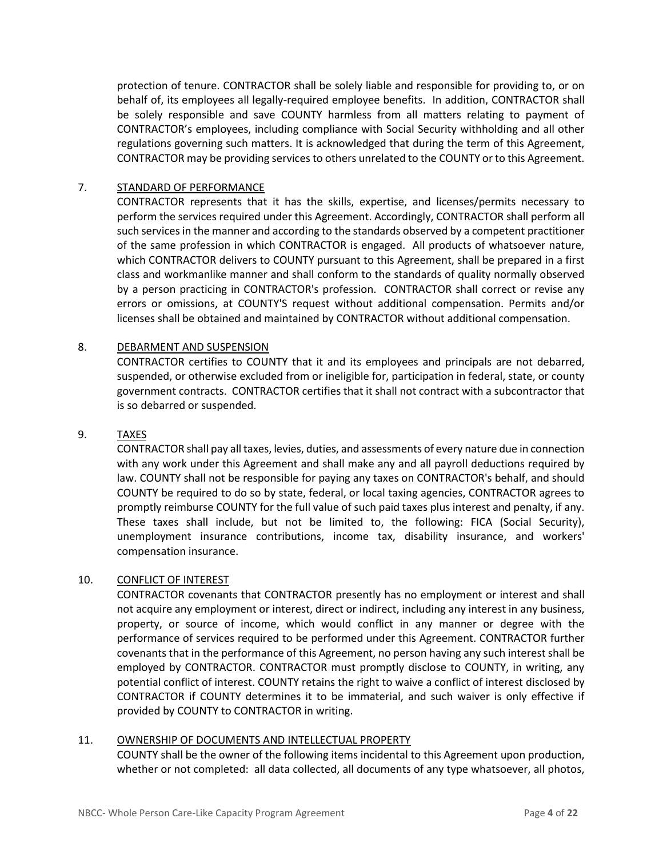protection of tenure. CONTRACTOR shall be solely liable and responsible for providing to, or on behalf of, its employees all legally-required employee benefits. In addition, CONTRACTOR shall be solely responsible and save COUNTY harmless from all matters relating to payment of CONTRACTOR's employees, including compliance with Social Security withholding and all other regulations governing such matters. It is acknowledged that during the term of this Agreement, CONTRACTOR may be providing services to others unrelated to the COUNTY or to this Agreement.

#### 7. STANDARD OF PERFORMANCE

CONTRACTOR represents that it has the skills, expertise, and licenses/permits necessary to perform the services required under this Agreement. Accordingly, CONTRACTOR shall perform all such services in the manner and according to the standards observed by a competent practitioner of the same profession in which CONTRACTOR is engaged. All products of whatsoever nature, which CONTRACTOR delivers to COUNTY pursuant to this Agreement, shall be prepared in a first class and workmanlike manner and shall conform to the standards of quality normally observed by a person practicing in CONTRACTOR's profession. CONTRACTOR shall correct or revise any errors or omissions, at COUNTY'S request without additional compensation. Permits and/or licenses shall be obtained and maintained by CONTRACTOR without additional compensation.

#### 8. DEBARMENT AND SUSPENSION

CONTRACTOR certifies to COUNTY that it and its employees and principals are not debarred, suspended, or otherwise excluded from or ineligible for, participation in federal, state, or county government contracts. CONTRACTOR certifies that it shall not contract with a subcontractor that is so debarred or suspended.

#### 9. TAXES

CONTRACTOR shall pay all taxes, levies, duties, and assessments of every nature due in connection with any work under this Agreement and shall make any and all payroll deductions required by law. COUNTY shall not be responsible for paying any taxes on CONTRACTOR's behalf, and should COUNTY be required to do so by state, federal, or local taxing agencies, CONTRACTOR agrees to promptly reimburse COUNTY for the full value of such paid taxes plus interest and penalty, if any. These taxes shall include, but not be limited to, the following: FICA (Social Security), unemployment insurance contributions, income tax, disability insurance, and workers' compensation insurance.

#### 10. CONFLICT OF INTEREST

CONTRACTOR covenants that CONTRACTOR presently has no employment or interest and shall not acquire any employment or interest, direct or indirect, including any interest in any business, property, or source of income, which would conflict in any manner or degree with the performance of services required to be performed under this Agreement. CONTRACTOR further covenants that in the performance of this Agreement, no person having any such interest shall be employed by CONTRACTOR. CONTRACTOR must promptly disclose to COUNTY, in writing, any potential conflict of interest. COUNTY retains the right to waive a conflict of interest disclosed by CONTRACTOR if COUNTY determines it to be immaterial, and such waiver is only effective if provided by COUNTY to CONTRACTOR in writing.

#### 11. OWNERSHIP OF DOCUMENTS AND INTELLECTUAL PROPERTY

COUNTY shall be the owner of the following items incidental to this Agreement upon production, whether or not completed: all data collected, all documents of any type whatsoever, all photos,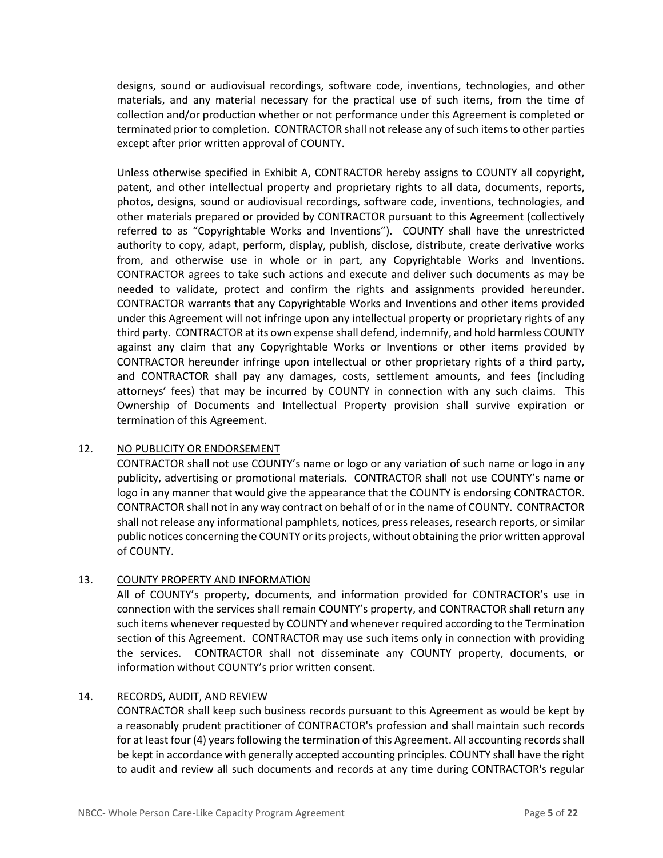designs, sound or audiovisual recordings, software code, inventions, technologies, and other materials, and any material necessary for the practical use of such items, from the time of collection and/or production whether or not performance under this Agreement is completed or terminated prior to completion. CONTRACTOR shall not release any of such items to other parties except after prior written approval of COUNTY.

Unless otherwise specified in Exhibit A, CONTRACTOR hereby assigns to COUNTY all copyright, patent, and other intellectual property and proprietary rights to all data, documents, reports, photos, designs, sound or audiovisual recordings, software code, inventions, technologies, and other materials prepared or provided by CONTRACTOR pursuant to this Agreement (collectively referred to as "Copyrightable Works and Inventions"). COUNTY shall have the unrestricted authority to copy, adapt, perform, display, publish, disclose, distribute, create derivative works from, and otherwise use in whole or in part, any Copyrightable Works and Inventions. CONTRACTOR agrees to take such actions and execute and deliver such documents as may be needed to validate, protect and confirm the rights and assignments provided hereunder. CONTRACTOR warrants that any Copyrightable Works and Inventions and other items provided under this Agreement will not infringe upon any intellectual property or proprietary rights of any third party. CONTRACTOR at its own expense shall defend, indemnify, and hold harmless COUNTY against any claim that any Copyrightable Works or Inventions or other items provided by CONTRACTOR hereunder infringe upon intellectual or other proprietary rights of a third party, and CONTRACTOR shall pay any damages, costs, settlement amounts, and fees (including attorneys' fees) that may be incurred by COUNTY in connection with any such claims. This Ownership of Documents and Intellectual Property provision shall survive expiration or termination of this Agreement.

#### 12. NO PUBLICITY OR ENDORSEMENT

CONTRACTOR shall not use COUNTY's name or logo or any variation of such name or logo in any publicity, advertising or promotional materials. CONTRACTOR shall not use COUNTY's name or logo in any manner that would give the appearance that the COUNTY is endorsing CONTRACTOR. CONTRACTOR shall not in any way contract on behalf of or in the name of COUNTY. CONTRACTOR shall not release any informational pamphlets, notices, press releases, research reports, or similar public notices concerning the COUNTY or its projects, without obtaining the prior written approval of COUNTY.

#### 13. COUNTY PROPERTY AND INFORMATION

All of COUNTY's property, documents, and information provided for CONTRACTOR's use in connection with the services shall remain COUNTY's property, and CONTRACTOR shall return any such items whenever requested by COUNTY and whenever required according to the Termination section of this Agreement. CONTRACTOR may use such items only in connection with providing the services. CONTRACTOR shall not disseminate any COUNTY property, documents, or information without COUNTY's prior written consent.

### 14. RECORDS, AUDIT, AND REVIEW

CONTRACTOR shall keep such business records pursuant to this Agreement as would be kept by a reasonably prudent practitioner of CONTRACTOR's profession and shall maintain such records for at least four (4) years following the termination of this Agreement. All accounting records shall be kept in accordance with generally accepted accounting principles. COUNTY shall have the right to audit and review all such documents and records at any time during CONTRACTOR's regular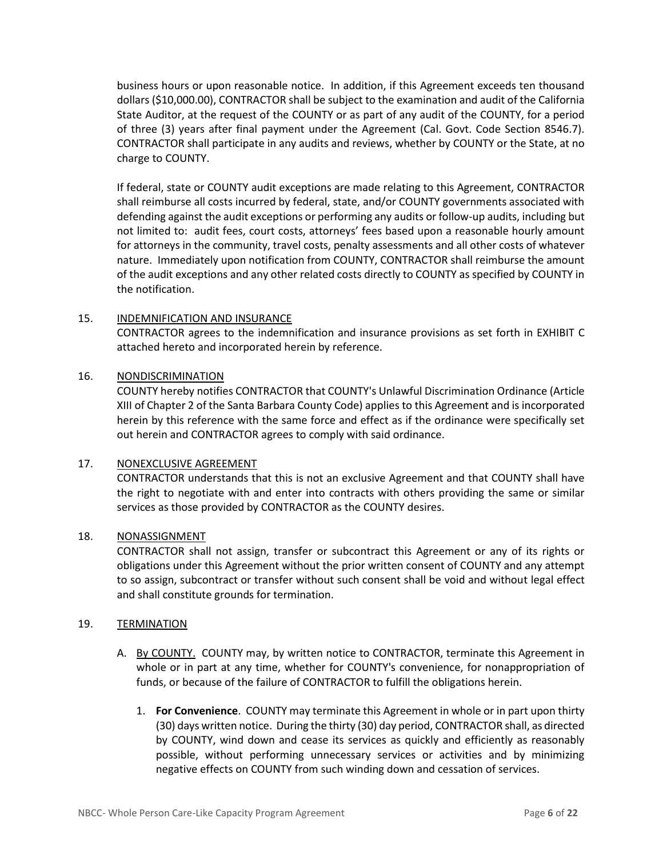business hours or upon reasonable notice. In addition, if this Agreement exceeds ten thousand dollars (\$10,000.00), CONTRACTOR shall be subject to the examination and audit of the California State Auditor, at the request of the COUNTY or as part of any audit of the COUNTY, for a period of three (3) years after final payment under the Agreement (Cal. Govt. Code Section 8546.7). CONTRACTOR shall participate in any audits and reviews, whether by COUNTY or the State, at no charge to COUNTY.

If federal, state or COUNTY audit exceptions are made relating to this Agreement, CONTRACTOR shall reimburse all costs incurred by federal, state, and/or COUNTY governments associated with defending against the audit exceptions or performing any audits or follow-up audits, including but not limited to: audit fees, court costs, attorneys' fees based upon a reasonable hourly amount for attorneys in the community, travel costs, penalty assessments and all other costs of whatever nature. Immediately upon notification from COUNTY, CONTRACTOR shall reimburse the amount of the audit exceptions and any other related costs directly to COUNTY as specified by COUNTY in the notification.

#### 15. INDEMNIFICATION AND INSURANCE

CONTRACTOR agrees to the indemnification and insurance provisions as set forth in EXHIBIT C attached hereto and incorporated herein by reference.

#### 16. NONDISCRIMINATION

COUNTY hereby notifies CONTRACTOR that COUNTY's Unlawful Discrimination Ordinance (Article XIII of Chapter 2 of the Santa Barbara County Code) applies to this Agreement and is incorporated herein by this reference with the same force and effect as if the ordinance were specifically set out herein and CONTRACTOR agrees to comply with said ordinance.

#### 17. NONEXCLUSIVE AGREEMENT

CONTRACTOR understands that this is not an exclusive Agreement and that COUNTY shall have the right to negotiate with and enter into contracts with others providing the same or similar services as those provided by CONTRACTOR as the COUNTY desires.

#### 18. NONASSIGNMENT

CONTRACTOR shall not assign, transfer or subcontract this Agreement or any of its rights or obligations under this Agreement without the prior written consent of COUNTY and any attempt to so assign, subcontract or transfer without such consent shall be void and without legal effect and shall constitute grounds for termination.

#### 19. TERMINATION

- A. By COUNTY. COUNTY may, by written notice to CONTRACTOR, terminate this Agreement in whole or in part at any time, whether for COUNTY's convenience, for nonappropriation of funds, or because of the failure of CONTRACTOR to fulfill the obligations herein.
	- 1. **For Convenience**. COUNTY may terminate this Agreement in whole or in part upon thirty (30) days written notice. During the thirty (30) day period, CONTRACTOR shall, as directed by COUNTY, wind down and cease its services as quickly and efficiently as reasonably possible, without performing unnecessary services or activities and by minimizing negative effects on COUNTY from such winding down and cessation of services.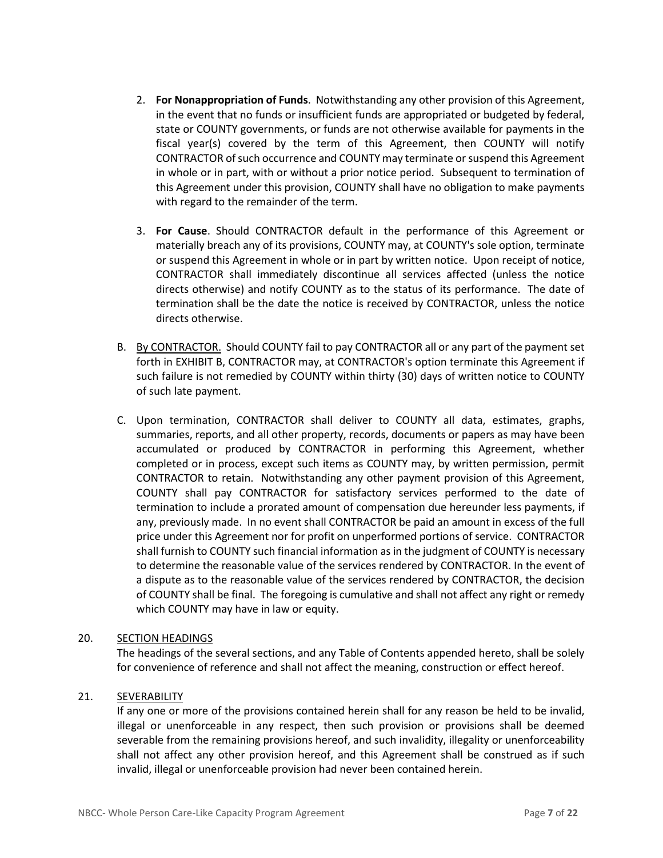- 2. **For Nonappropriation of Funds**. Notwithstanding any other provision of this Agreement, in the event that no funds or insufficient funds are appropriated or budgeted by federal, state or COUNTY governments, or funds are not otherwise available for payments in the fiscal year(s) covered by the term of this Agreement, then COUNTY will notify CONTRACTOR of such occurrence and COUNTY may terminate or suspend this Agreement in whole or in part, with or without a prior notice period. Subsequent to termination of this Agreement under this provision, COUNTY shall have no obligation to make payments with regard to the remainder of the term.
- 3. **For Cause**. Should CONTRACTOR default in the performance of this Agreement or materially breach any of its provisions, COUNTY may, at COUNTY's sole option, terminate or suspend this Agreement in whole or in part by written notice. Upon receipt of notice, CONTRACTOR shall immediately discontinue all services affected (unless the notice directs otherwise) and notify COUNTY as to the status of its performance. The date of termination shall be the date the notice is received by CONTRACTOR, unless the notice directs otherwise.
- B. By CONTRACTOR. Should COUNTY fail to pay CONTRACTOR all or any part of the payment set forth in EXHIBIT B, CONTRACTOR may, at CONTRACTOR's option terminate this Agreement if such failure is not remedied by COUNTY within thirty (30) days of written notice to COUNTY of such late payment.
- C. Upon termination, CONTRACTOR shall deliver to COUNTY all data, estimates, graphs, summaries, reports, and all other property, records, documents or papers as may have been accumulated or produced by CONTRACTOR in performing this Agreement, whether completed or in process, except such items as COUNTY may, by written permission, permit CONTRACTOR to retain. Notwithstanding any other payment provision of this Agreement, COUNTY shall pay CONTRACTOR for satisfactory services performed to the date of termination to include a prorated amount of compensation due hereunder less payments, if any, previously made. In no event shall CONTRACTOR be paid an amount in excess of the full price under this Agreement nor for profit on unperformed portions of service. CONTRACTOR shall furnish to COUNTY such financial information as in the judgment of COUNTY is necessary to determine the reasonable value of the services rendered by CONTRACTOR. In the event of a dispute as to the reasonable value of the services rendered by CONTRACTOR, the decision of COUNTY shall be final. The foregoing is cumulative and shall not affect any right or remedy which COUNTY may have in law or equity.

#### 20. SECTION HEADINGS

The headings of the several sections, and any Table of Contents appended hereto, shall be solely for convenience of reference and shall not affect the meaning, construction or effect hereof.

### 21. SEVERABILITY

If any one or more of the provisions contained herein shall for any reason be held to be invalid, illegal or unenforceable in any respect, then such provision or provisions shall be deemed severable from the remaining provisions hereof, and such invalidity, illegality or unenforceability shall not affect any other provision hereof, and this Agreement shall be construed as if such invalid, illegal or unenforceable provision had never been contained herein.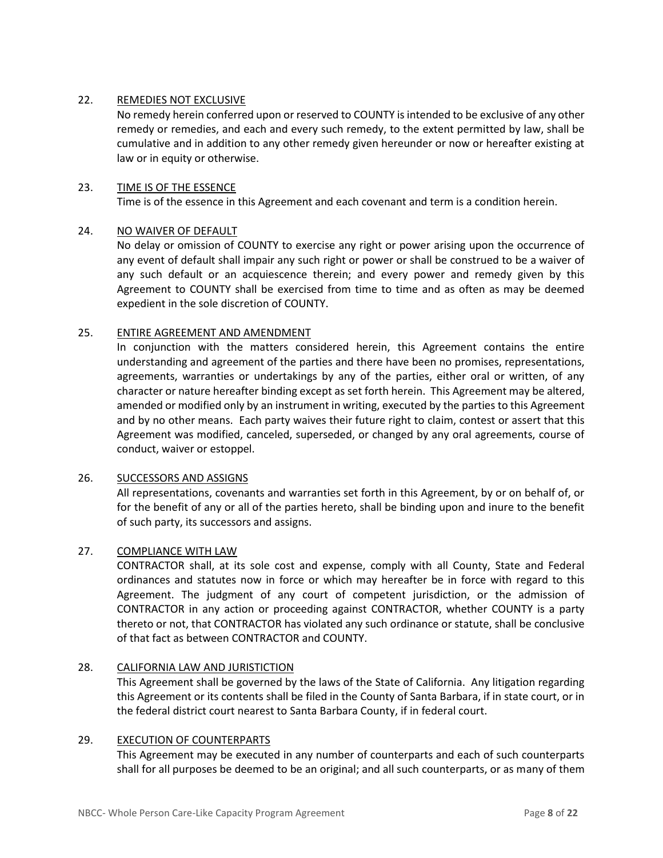#### 22. REMEDIES NOT EXCLUSIVE

No remedy herein conferred upon or reserved to COUNTY is intended to be exclusive of any other remedy or remedies, and each and every such remedy, to the extent permitted by law, shall be cumulative and in addition to any other remedy given hereunder or now or hereafter existing at law or in equity or otherwise.

#### 23. TIME IS OF THE ESSENCE

Time is of the essence in this Agreement and each covenant and term is a condition herein.

#### 24. NO WAIVER OF DEFAULT

No delay or omission of COUNTY to exercise any right or power arising upon the occurrence of any event of default shall impair any such right or power or shall be construed to be a waiver of any such default or an acquiescence therein; and every power and remedy given by this Agreement to COUNTY shall be exercised from time to time and as often as may be deemed expedient in the sole discretion of COUNTY.

#### 25. ENTIRE AGREEMENT AND AMENDMENT

In conjunction with the matters considered herein, this Agreement contains the entire understanding and agreement of the parties and there have been no promises, representations, agreements, warranties or undertakings by any of the parties, either oral or written, of any character or nature hereafter binding except as set forth herein. This Agreement may be altered, amended or modified only by an instrument in writing, executed by the parties to this Agreement and by no other means. Each party waives their future right to claim, contest or assert that this Agreement was modified, canceled, superseded, or changed by any oral agreements, course of conduct, waiver or estoppel.

#### 26. SUCCESSORS AND ASSIGNS

All representations, covenants and warranties set forth in this Agreement, by or on behalf of, or for the benefit of any or all of the parties hereto, shall be binding upon and inure to the benefit of such party, its successors and assigns.

#### 27. COMPLIANCE WITH LAW

CONTRACTOR shall, at its sole cost and expense, comply with all County, State and Federal ordinances and statutes now in force or which may hereafter be in force with regard to this Agreement. The judgment of any court of competent jurisdiction, or the admission of CONTRACTOR in any action or proceeding against CONTRACTOR, whether COUNTY is a party thereto or not, that CONTRACTOR has violated any such ordinance or statute, shall be conclusive of that fact as between CONTRACTOR and COUNTY.

#### 28. CALIFORNIA LAW AND JURISTICTION

This Agreement shall be governed by the laws of the State of California. Any litigation regarding this Agreement or its contents shall be filed in the County of Santa Barbara, if in state court, or in the federal district court nearest to Santa Barbara County, if in federal court.

#### 29. EXECUTION OF COUNTERPARTS

This Agreement may be executed in any number of counterparts and each of such counterparts shall for all purposes be deemed to be an original; and all such counterparts, or as many of them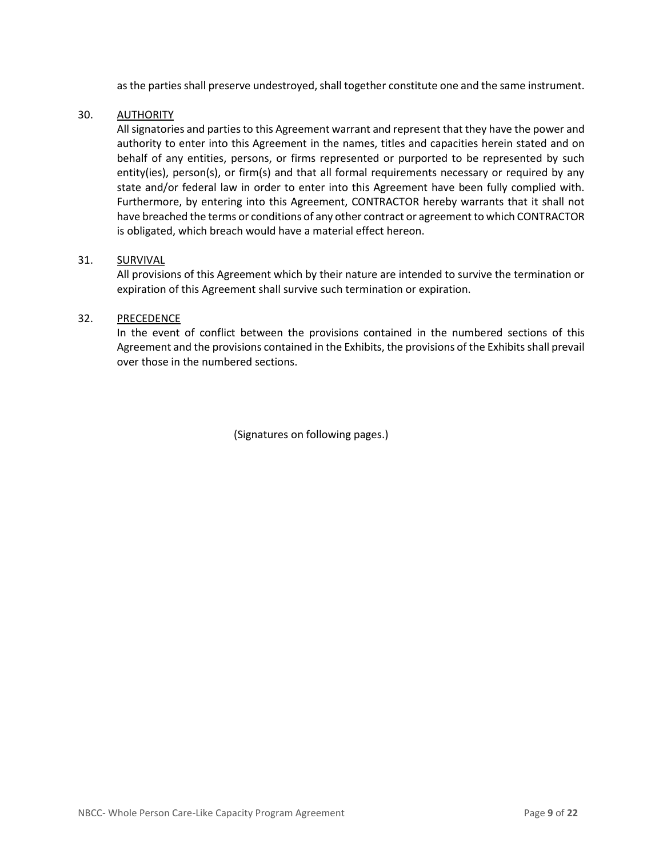as the parties shall preserve undestroyed, shall together constitute one and the same instrument.

#### 30. AUTHORITY

All signatories and parties to this Agreement warrant and represent that they have the power and authority to enter into this Agreement in the names, titles and capacities herein stated and on behalf of any entities, persons, or firms represented or purported to be represented by such entity(ies), person(s), or firm(s) and that all formal requirements necessary or required by any state and/or federal law in order to enter into this Agreement have been fully complied with. Furthermore, by entering into this Agreement, CONTRACTOR hereby warrants that it shall not have breached the terms or conditions of any other contract or agreement to which CONTRACTOR is obligated, which breach would have a material effect hereon.

#### 31. SURVIVAL

All provisions of this Agreement which by their nature are intended to survive the termination or expiration of this Agreement shall survive such termination or expiration.

#### 32. PRECEDENCE

In the event of conflict between the provisions contained in the numbered sections of this Agreement and the provisions contained in the Exhibits, the provisions of the Exhibits shall prevail over those in the numbered sections.

(Signatures on following pages.)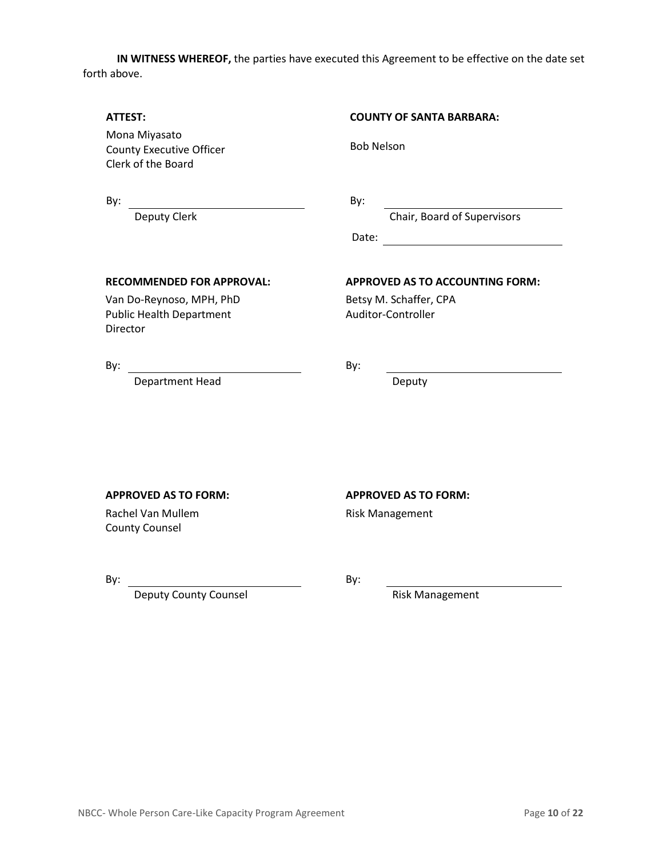**IN WITNESS WHEREOF,** the parties have executed this Agreement to be effective on the date set forth above.

# **ATTEST: COUNTY OF SANTA BARBARA:** Bob Nelson Mona Miyasato County Executive Officer Clerk of the Board By: By: Deputy Clerk Chair, Board of Supervisors Date: when the contract of the contract of the contract of the contract of the contract of the contract of the contract of the contract of the contract of the contract of the contract of the contract of the contract of the **RECOMMENDED FOR APPROVAL: APPROVED AS TO ACCOUNTING FORM:** Van Do-Reynoso, MPH, PhD Betsy M. Schaffer, CPA

Public Health Department Director

Auditor-Controller

By: By:

Department Head Deputy

Rachel Van Mullem County Counsel

Deputy County Counsel **Risk Management** 

### **APPROVED AS TO FORM: APPROVED AS TO FORM:**

Risk Management

By: By: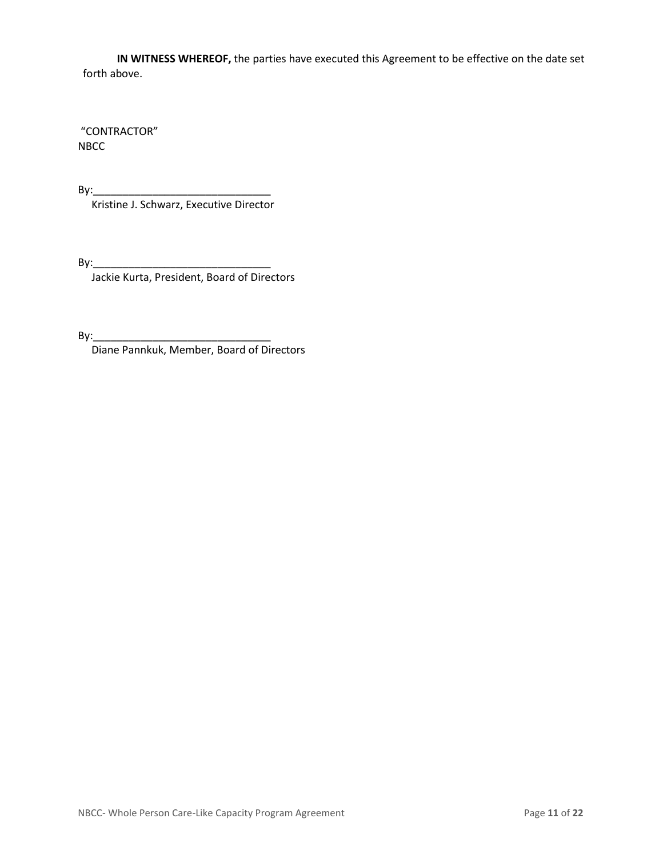**IN WITNESS WHEREOF,** the parties have executed this Agreement to be effective on the date set forth above.

"CONTRACTOR" NBCC

By:\_\_\_\_\_\_\_\_\_\_\_\_\_\_\_\_\_\_\_\_\_\_\_\_\_\_\_\_\_\_

Kristine J. Schwarz, Executive Director

 $By:$ 

Jackie Kurta, President, Board of Directors

By:\_\_\_\_\_\_\_\_\_\_\_\_\_\_\_\_\_\_\_\_\_\_\_\_\_\_\_\_\_\_

Diane Pannkuk, Member, Board of Directors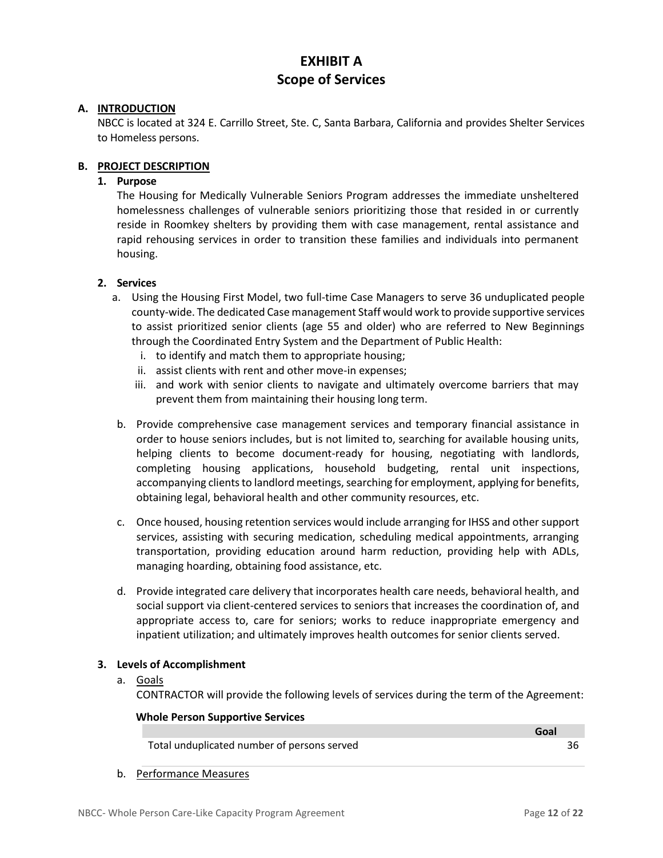# **EXHIBIT A Scope of Services**

#### **A. INTRODUCTION**

NBCC is located at 324 E. Carrillo Street, Ste. C, Santa Barbara, California and provides Shelter Services to Homeless persons.

#### **B. PROJECT DESCRIPTION**

### **1. Purpose**

The Housing for Medically Vulnerable Seniors Program addresses the immediate unsheltered homelessness challenges of vulnerable seniors prioritizing those that resided in or currently reside in Roomkey shelters by providing them with case management, rental assistance and rapid rehousing services in order to transition these families and individuals into permanent housing.

#### **2. Services**

- a. Using the Housing First Model, two full-time Case Managers to serve 36 unduplicated people county-wide. The dedicated Case management Staff would work to provide supportive services to assist prioritized senior clients (age 55 and older) who are referred to New Beginnings through the Coordinated Entry System and the Department of Public Health:
	- i. to identify and match them to appropriate housing;
	- ii. assist clients with rent and other move-in expenses;
	- iii. and work with senior clients to navigate and ultimately overcome barriers that may prevent them from maintaining their housing long term.
- b. Provide comprehensive case management services and temporary financial assistance in order to house seniors includes, but is not limited to, searching for available housing units, helping clients to become document-ready for housing, negotiating with landlords, completing housing applications, household budgeting, rental unit inspections, accompanying clients to landlord meetings, searching for employment, applying for benefits, obtaining legal, behavioral health and other community resources, etc.
- c. Once housed, housing retention services would include arranging for IHSS and other support services, assisting with securing medication, scheduling medical appointments, arranging transportation, providing education around harm reduction, providing help with ADLs, managing hoarding, obtaining food assistance, etc.
- d. Provide integrated care delivery that incorporates health care needs, behavioral health, and social support via client-centered services to seniors that increases the coordination of, and appropriate access to, care for seniors; works to reduce inappropriate emergency and inpatient utilization; and ultimately improves health outcomes for senior clients served.

#### **3. Levels of Accomplishment**

#### a. Goals

CONTRACTOR will provide the following levels of services during the term of the Agreement:

#### **Whole Person Supportive Services**

|                                             | -------- |
|---------------------------------------------|----------|
| Total unduplicated number of persons served |          |

b. Performance Measures

**Goal**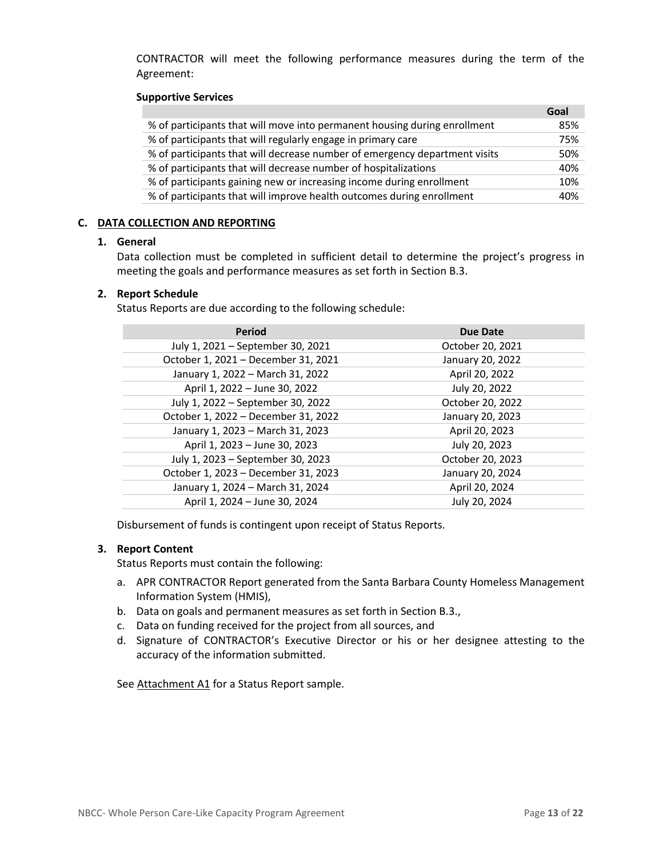CONTRACTOR will meet the following performance measures during the term of the Agreement:

#### **Supportive Services**

|                                                                            | Goal |
|----------------------------------------------------------------------------|------|
| % of participants that will move into permanent housing during enrollment  | 85%  |
| % of participants that will regularly engage in primary care               | 75%  |
| % of participants that will decrease number of emergency department visits | 50%  |
| % of participants that will decrease number of hospitalizations            | 40%  |
| % of participants gaining new or increasing income during enrollment       | 10%  |
| % of participants that will improve health outcomes during enrollment      | 40%  |

#### **C. DATA COLLECTION AND REPORTING**

#### **1. General**

Data collection must be completed in sufficient detail to determine the project's progress in meeting the goals and performance measures as set forth in Section B.3.

#### **2. Report Schedule**

Status Reports are due according to the following schedule:

| <b>Period</b>                       | <b>Due Date</b>  |
|-------------------------------------|------------------|
| July 1, 2021 - September 30, 2021   | October 20, 2021 |
| October 1, 2021 - December 31, 2021 | January 20, 2022 |
| January 1, 2022 - March 31, 2022    | April 20, 2022   |
| April 1, 2022 - June 30, 2022       | July 20, 2022    |
| July 1, 2022 - September 30, 2022   | October 20, 2022 |
| October 1, 2022 - December 31, 2022 | January 20, 2023 |
| January 1, 2023 - March 31, 2023    | April 20, 2023   |
| April 1, 2023 - June 30, 2023       | July 20, 2023    |
| July 1, 2023 - September 30, 2023   | October 20, 2023 |
| October 1, 2023 - December 31, 2023 | January 20, 2024 |
| January 1, 2024 - March 31, 2024    | April 20, 2024   |
| April 1, 2024 - June 30, 2024       | July 20, 2024    |

Disbursement of funds is contingent upon receipt of Status Reports.

#### **3. Report Content**

Status Reports must contain the following:

- a. APR CONTRACTOR Report generated from the Santa Barbara County Homeless Management Information System (HMIS),
- b. Data on goals and permanent measures as set forth in Section B.3.,
- c. Data on funding received for the project from all sources, and
- d. Signature of CONTRACTOR's Executive Director or his or her designee attesting to the accuracy of the information submitted.

See Attachment A1 for a Status Report sample.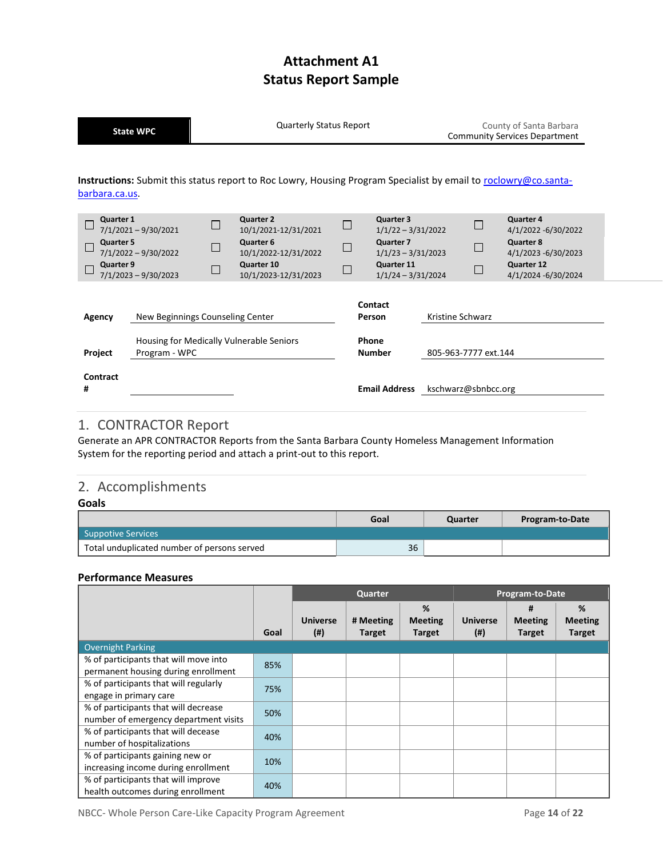# **Attachment A1 Status Report Sample**

**State WPC** County **COUNTS COUNTS A** Quarterly Status Report County County of Santa Barbara<br>Community Constructs Department

|                                            | state wrc                                                                  |                            |                                                                                                                     |                            |                                                                                                              |                  |                      | <b>Community Services Department</b>                                                                             |
|--------------------------------------------|----------------------------------------------------------------------------|----------------------------|---------------------------------------------------------------------------------------------------------------------|----------------------------|--------------------------------------------------------------------------------------------------------------|------------------|----------------------|------------------------------------------------------------------------------------------------------------------|
| barbara.ca.us.                             |                                                                            |                            | Instructions: Submit this status report to Roc Lowry, Housing Program Specialist by email to roclowry@co.santa-     |                            |                                                                                                              |                  |                      |                                                                                                                  |
| Quarter 1<br><b>Quarter 5</b><br>Quarter 9 | $7/1/2021 - 9/30/2021$<br>$7/1/2022 - 9/30/2022$<br>$7/1/2023 - 9/30/2023$ | $\Box$<br>$\Box$<br>$\Box$ | <b>Quarter 2</b><br>10/1/2021-12/31/2021<br>Quarter 6<br>10/1/2022-12/31/2022<br>Quarter 10<br>10/1/2023-12/31/2023 | $\Box$<br>$\Box$<br>$\Box$ | Quarter 3<br>$1/1/22 - 3/31/2022$<br>Quarter 7<br>$1/1/23 - 3/31/2023$<br>Quarter 11<br>$1/1/24 - 3/31/2024$ |                  | ⊏<br>$\Box$          | Quarter 4<br>4/1/2022 -6/30/2022<br><b>Quarter 8</b><br>4/1/2023 -6/30/2023<br>Quarter 12<br>4/1/2024 -6/30/2024 |
| Agency<br>Project                          | New Beginnings Counseling Center<br>Program - WPC                          |                            | Housing for Medically Vulnerable Seniors                                                                            |                            | Contact<br>Person<br><b>Phone</b><br><b>Number</b>                                                           | Kristine Schwarz | 805-963-7777 ext.144 |                                                                                                                  |
| Contract                                   |                                                                            |                            |                                                                                                                     |                            |                                                                                                              |                  |                      |                                                                                                                  |

### 1. CONTRACTOR Report

Generate an APR CONTRACTOR Reports from the Santa Barbara County Homeless Management Information System for the reporting period and attach a print-out to this report.

**# Email Address** kschwarz@sbnbcc.org

### 2. Accomplishments

#### **Goals**

|                                             | Goal | Quarter | Program-to-Date |
|---------------------------------------------|------|---------|-----------------|
| Suppotive Services                          |      |         |                 |
| Total unduplicated number of persons served | 36   |         |                 |

#### **Performance Measures**

|                                                                               |      | Quarter                   |                            | Program-to-Date                      |                              |                                      |                                      |
|-------------------------------------------------------------------------------|------|---------------------------|----------------------------|--------------------------------------|------------------------------|--------------------------------------|--------------------------------------|
|                                                                               | Goal | <b>Universe</b><br>$($ #) | # Meeting<br><b>Target</b> | %<br><b>Meeting</b><br><b>Target</b> | <b>Universe</b><br>$($ # $)$ | #<br><b>Meeting</b><br><b>Target</b> | %<br><b>Meeting</b><br><b>Target</b> |
| <b>Overnight Parking</b>                                                      |      |                           |                            |                                      |                              |                                      |                                      |
| % of participants that will move into<br>permanent housing during enrollment  | 85%  |                           |                            |                                      |                              |                                      |                                      |
| % of participants that will regularly<br>engage in primary care               | 75%  |                           |                            |                                      |                              |                                      |                                      |
| % of participants that will decrease<br>number of emergency department visits | 50%  |                           |                            |                                      |                              |                                      |                                      |
| % of participants that will decease<br>number of hospitalizations             | 40%  |                           |                            |                                      |                              |                                      |                                      |
| % of participants gaining new or<br>increasing income during enrollment       | 10%  |                           |                            |                                      |                              |                                      |                                      |
| % of participants that will improve<br>health outcomes during enrollment      | 40%  |                           |                            |                                      |                              |                                      |                                      |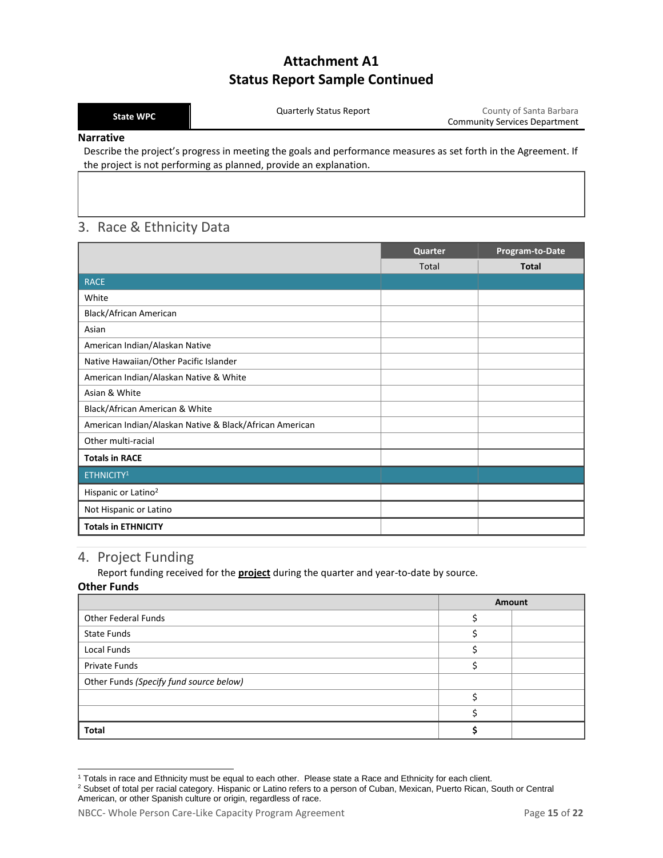### **Attachment A1 Status Report Sample Continued**

| <b>State WPC</b> | County of Santa Barbara<br>Quarterly Status Report<br><b>Community Services Department</b>                     |
|------------------|----------------------------------------------------------------------------------------------------------------|
| <b>Narrative</b> |                                                                                                                |
|                  | Describe the project's progress in meeting the goals and performance measures as set forth in the Agreement If |

Describe the project's progress in meeting the goals and performance measures as set forth in the Agreement. If the project is not performing as planned, provide an explanation.

### 3. Race & Ethnicity Data

|                                                         | Quarter | Program-to-Date |
|---------------------------------------------------------|---------|-----------------|
|                                                         | Total   | <b>Total</b>    |
| RACE                                                    |         |                 |
| White                                                   |         |                 |
| Black/African American                                  |         |                 |
| Asian                                                   |         |                 |
| American Indian/Alaskan Native                          |         |                 |
| Native Hawaiian/Other Pacific Islander                  |         |                 |
| American Indian/Alaskan Native & White                  |         |                 |
| Asian & White                                           |         |                 |
| Black/African American & White                          |         |                 |
| American Indian/Alaskan Native & Black/African American |         |                 |
| Other multi-racial                                      |         |                 |
| <b>Totals in RACE</b>                                   |         |                 |
| ETHNICITY <sup>1</sup>                                  |         |                 |
| Hispanic or Latino <sup>2</sup>                         |         |                 |
| Not Hispanic or Latino                                  |         |                 |
| <b>Totals in ETHNICITY</b>                              |         |                 |

### 4. Project Funding

Report funding received for the **project** during the quarter and year-to-date by source.

#### **Other Funds**

|                                         | Amount |  |
|-----------------------------------------|--------|--|
| <b>Other Federal Funds</b>              |        |  |
| <b>State Funds</b>                      |        |  |
| Local Funds                             |        |  |
| Private Funds                           |        |  |
| Other Funds (Specify fund source below) |        |  |
|                                         |        |  |
|                                         |        |  |
| <b>Total</b>                            |        |  |

 $\overline{a}$ <sup>1</sup> Totals in race and Ethnicity must be equal to each other. Please state a Race and Ethnicity for each client.

<sup>&</sup>lt;sup>2</sup> Subset of total per racial category. Hispanic or Latino refers to a person of Cuban, Mexican, Puerto Rican, South or Central American, or other Spanish culture or origin, regardless of race.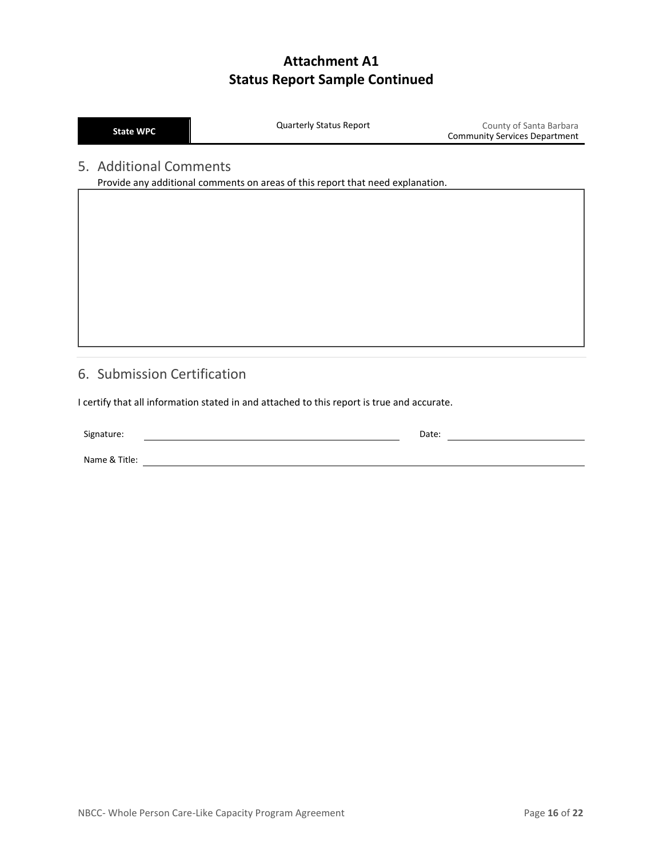# **Attachment A1 Status Report Sample Continued**

| <b>State WPO</b> |  |
|------------------|--|
|                  |  |

**State WPC** Quarterly Status Report County of Santa Barbara Community Services Department

## 5. Additional Comments

Provide any additional comments on areas of this report that need explanation.

### 6. Submission Certification

I certify that all information stated in and attached to this report is true and accurate.

Signature: Date: Name & Title: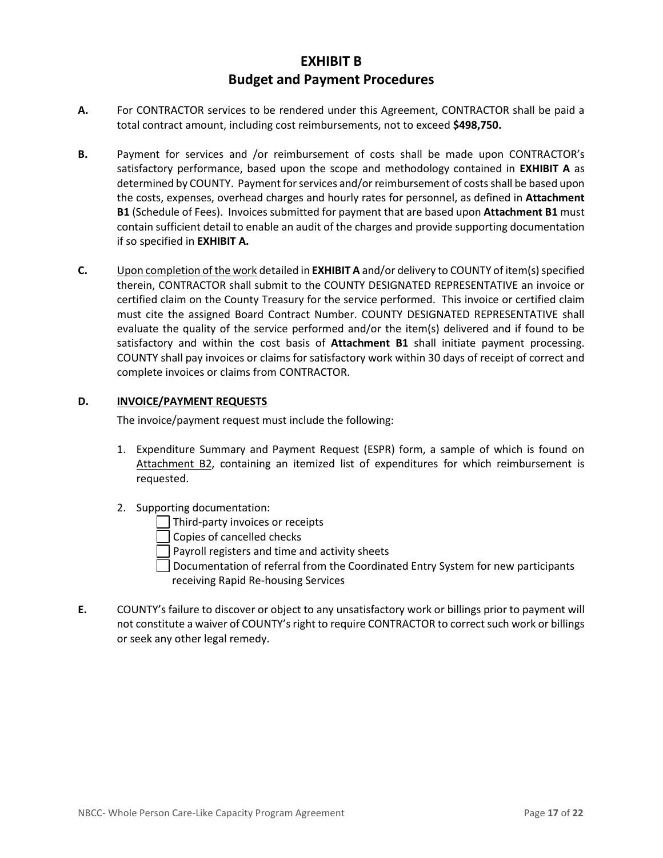### **EXHIBIT B Budget and Payment Procedures**

- **A.** For CONTRACTOR services to be rendered under this Agreement, CONTRACTOR shall be paid a total contract amount, including cost reimbursements, not to exceed **\$498,750.**
- **B.** Payment for services and /or reimbursement of costs shall be made upon CONTRACTOR's satisfactory performance, based upon the scope and methodology contained in **EXHIBIT A** as determined by COUNTY. Payment for services and/or reimbursement of costs shall be based upon the costs, expenses, overhead charges and hourly rates for personnel, as defined in **Attachment B1** (Schedule of Fees). Invoices submitted for payment that are based upon **Attachment B1** must contain sufficient detail to enable an audit of the charges and provide supporting documentation if so specified in **EXHIBIT A.**
- **C.** Upon completion of the work detailed in **EXHIBIT A** and/or delivery to COUNTY of item(s) specified therein, CONTRACTOR shall submit to the COUNTY DESIGNATED REPRESENTATIVE an invoice or certified claim on the County Treasury for the service performed. This invoice or certified claim must cite the assigned Board Contract Number. COUNTY DESIGNATED REPRESENTATIVE shall evaluate the quality of the service performed and/or the item(s) delivered and if found to be satisfactory and within the cost basis of **Attachment B1** shall initiate payment processing. COUNTY shall pay invoices or claims for satisfactory work within 30 days of receipt of correct and complete invoices or claims from CONTRACTOR.

#### **D. INVOICE/PAYMENT REQUESTS**

The invoice/payment request must include the following:

- 1. Expenditure Summary and Payment Request (ESPR) form, a sample of which is found on Attachment B2, containing an itemized list of expenditures for which reimbursement is requested.
- 2. Supporting documentation:
	- Third-party invoices or receipts

Copies of cancelled checks

Payroll registers and time and activity sheets

- $\Box$  Documentation of referral from the Coordinated Entry System for new participants receiving Rapid Re-housing Services
- **E.** COUNTY's failure to discover or object to any unsatisfactory work or billings prior to payment will not constitute a waiver of COUNTY's right to require CONTRACTOR to correct such work or billings or seek any other legal remedy.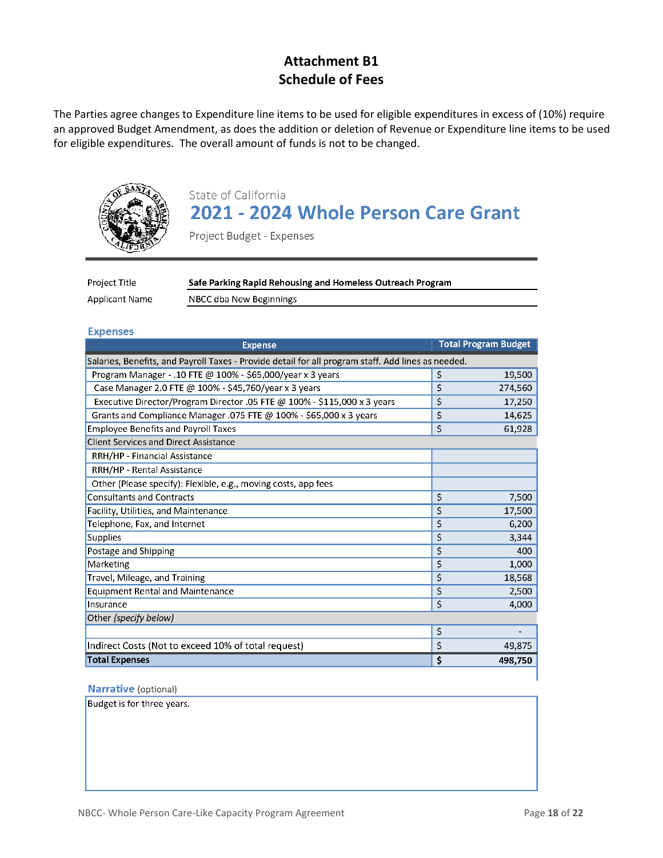## **Attachment B1 Schedule of Fees**

The Parties agree changes to Expenditure line items to be used for eligible expenditures in excess of (10%) require an approved Budget Amendment, as does the addition or deletion of Revenue or Expenditure line items to be used for eligible expenditures. The overall amount of funds is not to be changed.



# State of California 2021 - 2024 Whole Person Care Grant

Project Budget - Expenses

| Project Title         | Safe Parking Rapid Rehousing and Homeless Outreach Program |  |  |  |
|-----------------------|------------------------------------------------------------|--|--|--|
| <b>Applicant Name</b> | NBCC dba New Beginnings                                    |  |  |  |

#### **Expenses**

| <b>Expense</b>                                                                                     | <b>Total Program Budget</b> |
|----------------------------------------------------------------------------------------------------|-----------------------------|
| Salaries, Benefits, and Payroll Taxes - Provide detail for all program staff. Add lines as needed. |                             |
| Program Manager - .10 FTE @ 100% - \$65,000/year x 3 years                                         | 19,500<br>\$                |
| Case Manager 2.0 FTE @ 100% - \$45,760/year x 3 years                                              | \$<br>274,560               |
| Executive Director/Program Director .05 FTE @ 100% - \$115,000 x 3 years                           | \$<br>17,250                |
| Grants and Compliance Manager .075 FTE @ 100% - \$65,000 x 3 years                                 | \$<br>14,625                |
| <b>Employee Benefits and Payroll Taxes</b>                                                         | \$<br>61,928                |
| <b>Client Services and Direct Assistance</b>                                                       |                             |
| RRH/HP - Financial Assistance                                                                      |                             |
| RRH/HP - Rental Assistance                                                                         |                             |
| Other (Please specify): Flexible, e.g., moving costs, app fees                                     |                             |
| <b>Consultants and Contracts</b>                                                                   | \$<br>7,500                 |
| Facility, Utilities, and Maintenance                                                               | \$<br>17,500                |
| Telephone, Fax, and Internet                                                                       | \$<br>6,200                 |
| Supplies                                                                                           | \$<br>3,344                 |
| Postage and Shipping                                                                               | \$<br>400                   |
| Marketing                                                                                          | \$<br>1,000                 |
| Travel, Mileage, and Training                                                                      | \$<br>18,568                |
| <b>Equipment Rental and Maintenance</b>                                                            | \$<br>2,500                 |
| Insurance                                                                                          | \$<br>4,000                 |
| Other (specify below)                                                                              |                             |
|                                                                                                    | \$                          |
| Indirect Costs (Not to exceed 10% of total request)                                                | \$<br>49,875                |
| <b>Total Expenses</b>                                                                              | \$<br>498,750               |

#### Narrative (optional)

Budget is for three years.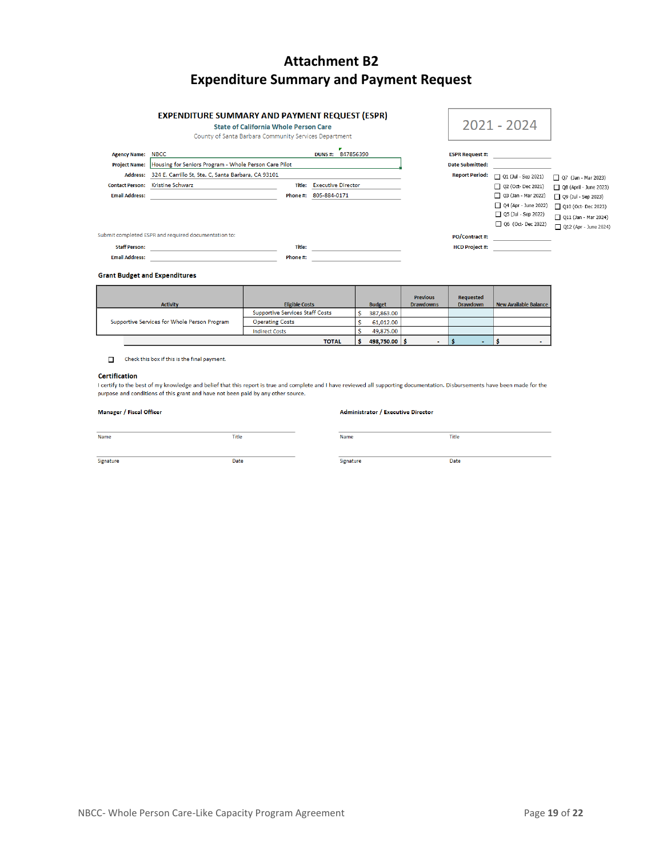# **Attachment B2 Expenditure Summary and Payment Request**

#### **EXPENDITURE SUMMARY AND PAYMENT REQUEST (ESPR)**

**State of California Whole Person Care** 

#### County of Santa Barbara Com

|                                                 | COUTILY OF SAME DAIDATA COMMUNITY SERVICES DEDAILMENT                                                                                     |                    |                                           |                                                  |                                                                                                                                       |                                                                                                                                                    |
|-------------------------------------------------|-------------------------------------------------------------------------------------------------------------------------------------------|--------------------|-------------------------------------------|--------------------------------------------------|---------------------------------------------------------------------------------------------------------------------------------------|----------------------------------------------------------------------------------------------------------------------------------------------------|
| <b>Agency Name:</b><br>Address:                 | <b>NBCC</b><br>Project Name: Housing for Seniors Program - Whole Person Care Pilot<br>324 E. Carrillo St, Ste. C, Santa Barbara, CA 93101 |                    | 847856390<br><b>DUNS#:</b>                | <b>ESPR Request #:</b><br><b>Date Submitted:</b> |                                                                                                                                       |                                                                                                                                                    |
| <b>Contact Person:</b><br><b>Email Address:</b> | <b>Kristine Schwarz</b>                                                                                                                   | Title:<br>Phone #: | <b>Executive Director</b><br>805-884-0171 | <b>Report Period:</b>                            | Q1 (Jul - Sep 2021)<br>O2 (Oct-Dec 2021)<br>□ 03 (Jan - Mar 2022)<br>Q4 (Apr - June 2022)<br>Q5 (Jul - Sep 2022)<br>O6 (Oct-Dec 2022) | Q7 (Jan - Mar 2023)<br>Q8 (April - June 2023)<br>$\Box$ Q9 (Jul - Sep 2023)<br>010 (Oct-Dec 2023)<br>Q11 (Jan - Mar 2024)<br>012 (Apr - June 2024) |
| <b>Staff Person:</b>                            | nit completed ESPR and required documentation to:                                                                                         | Title:             |                                           | <b>PO/Contract #:</b><br><b>HCD Project #:</b>   |                                                                                                                                       |                                                                                                                                                    |

Subn

Staff Person: Email Address: Phone #:

#### **Grant Budget and Expenditures**

| <b>Activity</b>                              | <b>Eligible Costs</b>                  | <b>Budget</b> | <b>Previous</b><br><b>Drawdowns</b> | <b>Requested</b><br><b>Drawdown</b> | <b>New Available Balance</b> |
|----------------------------------------------|----------------------------------------|---------------|-------------------------------------|-------------------------------------|------------------------------|
|                                              | <b>Supportive Services Staff Costs</b> | 387,863.00    |                                     |                                     |                              |
| Supportive Services for Whole Person Program | <b>Operating Costs</b>                 | 61,012.00     |                                     |                                     |                              |
|                                              | <b>Indirect Costs</b>                  | 49,875.00     |                                     |                                     |                              |
|                                              | <b>TOTAL</b>                           | 498.750.00    |                                     |                                     | $\sim$                       |

 $\Box$  Check this box if this is the final payment.

#### **Certification**

I certify to the best of my knowledge and belief that this report is true and complete and I have reviewed all supporting documentation. Disbursements have been made for the purpose and conditions of this grant and have not been paid by any other source.

Name

Signature

#### Manager / Fiscal Officer

#### Administrator / Executive Director

| Name      | <b>Title</b> |
|-----------|--------------|
|           |              |
| Signature | Date         |

Title

Date

 $2021 - 2024$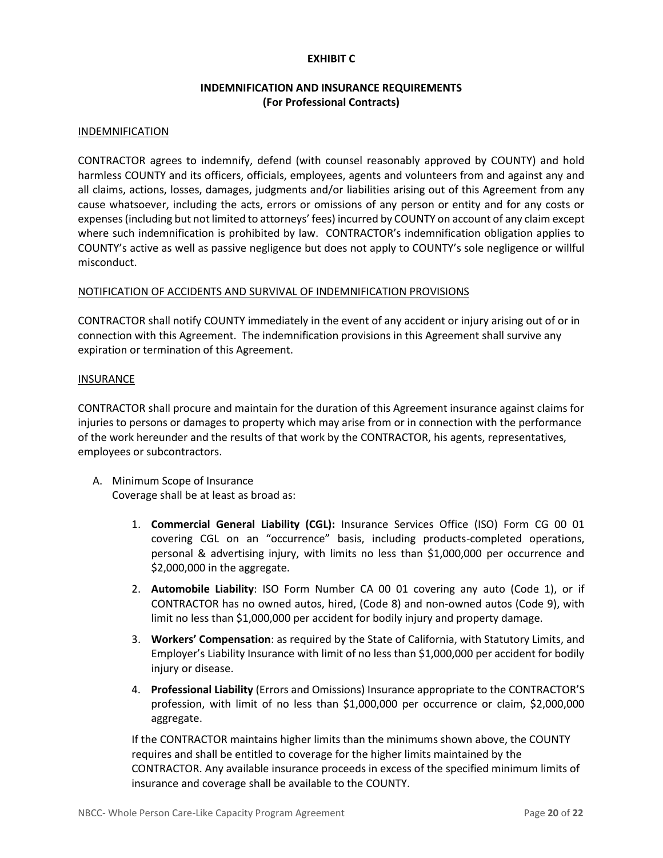#### **EXHIBIT C**

### **INDEMNIFICATION AND INSURANCE REQUIREMENTS (For Professional Contracts)**

#### INDEMNIFICATION

CONTRACTOR agrees to indemnify, defend (with counsel reasonably approved by COUNTY) and hold harmless COUNTY and its officers, officials, employees, agents and volunteers from and against any and all claims, actions, losses, damages, judgments and/or liabilities arising out of this Agreement from any cause whatsoever, including the acts, errors or omissions of any person or entity and for any costs or expenses (including but not limited to attorneys' fees) incurred by COUNTY on account of any claim except where such indemnification is prohibited by law. CONTRACTOR's indemnification obligation applies to COUNTY's active as well as passive negligence but does not apply to COUNTY's sole negligence or willful misconduct.

#### NOTIFICATION OF ACCIDENTS AND SURVIVAL OF INDEMNIFICATION PROVISIONS

CONTRACTOR shall notify COUNTY immediately in the event of any accident or injury arising out of or in connection with this Agreement. The indemnification provisions in this Agreement shall survive any expiration or termination of this Agreement.

#### **INSURANCE**

CONTRACTOR shall procure and maintain for the duration of this Agreement insurance against claims for injuries to persons or damages to property which may arise from or in connection with the performance of the work hereunder and the results of that work by the CONTRACTOR, his agents, representatives, employees or subcontractors.

- A. Minimum Scope of Insurance Coverage shall be at least as broad as:
	- 1. **Commercial General Liability (CGL):** Insurance Services Office (ISO) Form CG 00 01 covering CGL on an "occurrence" basis, including products-completed operations, personal & advertising injury, with limits no less than \$1,000,000 per occurrence and \$2,000,000 in the aggregate.
	- 2. **Automobile Liability**: ISO Form Number CA 00 01 covering any auto (Code 1), or if CONTRACTOR has no owned autos, hired, (Code 8) and non-owned autos (Code 9), with limit no less than \$1,000,000 per accident for bodily injury and property damage.
	- 3. **Workers' Compensation**: as required by the State of California, with Statutory Limits, and Employer's Liability Insurance with limit of no less than \$1,000,000 per accident for bodily injury or disease.
	- 4. **Professional Liability** (Errors and Omissions) Insurance appropriate to the CONTRACTOR'S profession, with limit of no less than \$1,000,000 per occurrence or claim, \$2,000,000 aggregate.

If the CONTRACTOR maintains higher limits than the minimums shown above, the COUNTY requires and shall be entitled to coverage for the higher limits maintained by the CONTRACTOR. Any available insurance proceeds in excess of the specified minimum limits of insurance and coverage shall be available to the COUNTY.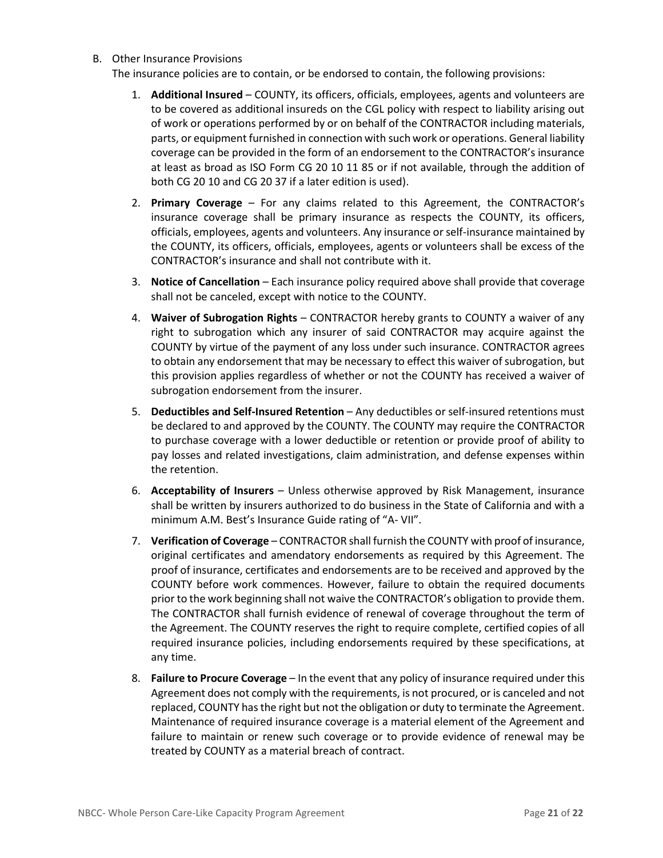#### B. Other Insurance Provisions

The insurance policies are to contain, or be endorsed to contain, the following provisions:

- 1. **Additional Insured** COUNTY, its officers, officials, employees, agents and volunteers are to be covered as additional insureds on the CGL policy with respect to liability arising out of work or operations performed by or on behalf of the CONTRACTOR including materials, parts, or equipment furnished in connection with such work or operations. General liability coverage can be provided in the form of an endorsement to the CONTRACTOR's insurance at least as broad as ISO Form CG 20 10 11 85 or if not available, through the addition of both CG 20 10 and CG 20 37 if a later edition is used).
- 2. **Primary Coverage** For any claims related to this Agreement, the CONTRACTOR's insurance coverage shall be primary insurance as respects the COUNTY, its officers, officials, employees, agents and volunteers. Any insurance or self-insurance maintained by the COUNTY, its officers, officials, employees, agents or volunteers shall be excess of the CONTRACTOR's insurance and shall not contribute with it.
- 3. **Notice of Cancellation** Each insurance policy required above shall provide that coverage shall not be canceled, except with notice to the COUNTY.
- 4. **Waiver of Subrogation Rights** CONTRACTOR hereby grants to COUNTY a waiver of any right to subrogation which any insurer of said CONTRACTOR may acquire against the COUNTY by virtue of the payment of any loss under such insurance. CONTRACTOR agrees to obtain any endorsement that may be necessary to effect this waiver of subrogation, but this provision applies regardless of whether or not the COUNTY has received a waiver of subrogation endorsement from the insurer.
- 5. **Deductibles and Self-Insured Retention** Any deductibles or self-insured retentions must be declared to and approved by the COUNTY. The COUNTY may require the CONTRACTOR to purchase coverage with a lower deductible or retention or provide proof of ability to pay losses and related investigations, claim administration, and defense expenses within the retention.
- 6. **Acceptability of Insurers** Unless otherwise approved by Risk Management, insurance shall be written by insurers authorized to do business in the State of California and with a minimum A.M. Best's Insurance Guide rating of "A- VII".
- 7. **Verification of Coverage** CONTRACTOR shall furnish the COUNTY with proof of insurance, original certificates and amendatory endorsements as required by this Agreement. The proof of insurance, certificates and endorsements are to be received and approved by the COUNTY before work commences. However, failure to obtain the required documents prior to the work beginning shall not waive the CONTRACTOR's obligation to provide them. The CONTRACTOR shall furnish evidence of renewal of coverage throughout the term of the Agreement. The COUNTY reserves the right to require complete, certified copies of all required insurance policies, including endorsements required by these specifications, at any time.
- 8. **Failure to Procure Coverage** In the event that any policy of insurance required under this Agreement does not comply with the requirements, is not procured, or is canceled and not replaced, COUNTY has the right but not the obligation or duty to terminate the Agreement. Maintenance of required insurance coverage is a material element of the Agreement and failure to maintain or renew such coverage or to provide evidence of renewal may be treated by COUNTY as a material breach of contract.